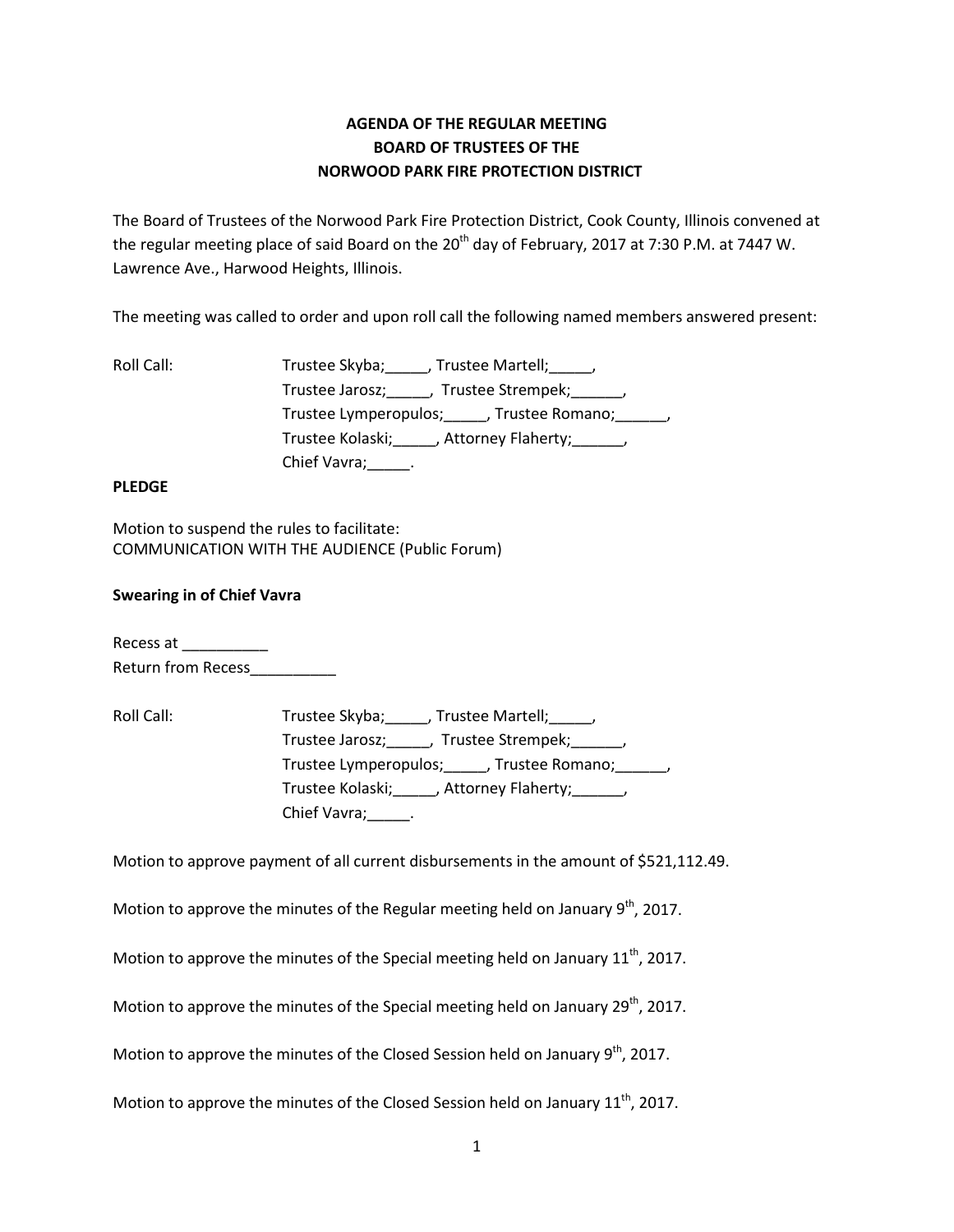# **AGENDA OF THE REGULAR MEETING BOARD OF TRUSTEES OF THE NORWOOD PARK FIRE PROTECTION DISTRICT**

The Board of Trustees of the Norwood Park Fire Protection District, Cook County, Illinois convened at the regular meeting place of said Board on the 20<sup>th</sup> day of February, 2017 at 7:30 P.M. at 7447 W. Lawrence Ave., Harwood Heights, Illinois.

The meeting was called to order and upon roll call the following named members answered present:

| Roll Call: | Trustee Skyba; , Trustee Martell; ,                   |
|------------|-------------------------------------------------------|
|            | Trustee Jarosz; _____, Trustee Strempek; ______,      |
|            | Trustee Lymperopulos; ______, Trustee Romano; ______, |
|            | Trustee Kolaski; ______, Attorney Flaherty; ______,   |
|            | Chief Vavra; ______.                                  |

# **PLEDGE**

Motion to suspend the rules to facilitate: COMMUNICATION WITH THE AUDIENCE (Public Forum)

# **Swearing in of Chief Vavra**

Recess at \_\_\_\_\_\_\_\_\_\_ Return from Recess\_\_\_\_\_\_\_\_\_\_

Roll Call: Trustee Skyba; \_\_\_\_\_, Trustee Martell; \_\_\_\_\_, Trustee Jarosz;\_\_\_\_\_, Trustee Strempek;\_\_\_\_\_\_, Trustee Lymperopulos;\_\_\_\_\_, Trustee Romano;\_\_\_\_\_\_, Trustee Kolaski; fattorney Flaherty; function of the Kolaski Chief Vavra; Parances

Motion to approve payment of all current disbursements in the amount of \$521,112.49.

Motion to approve the minutes of the Regular meeting held on January  $9<sup>th</sup>$ , 2017.

Motion to approve the minutes of the Special meeting held on January  $11<sup>th</sup>$ , 2017.

Motion to approve the minutes of the Special meeting held on January  $29<sup>th</sup>$ , 2017.

Motion to approve the minutes of the Closed Session held on January  $9<sup>th</sup>$ , 2017.

Motion to approve the minutes of the Closed Session held on January  $11<sup>th</sup>$ , 2017.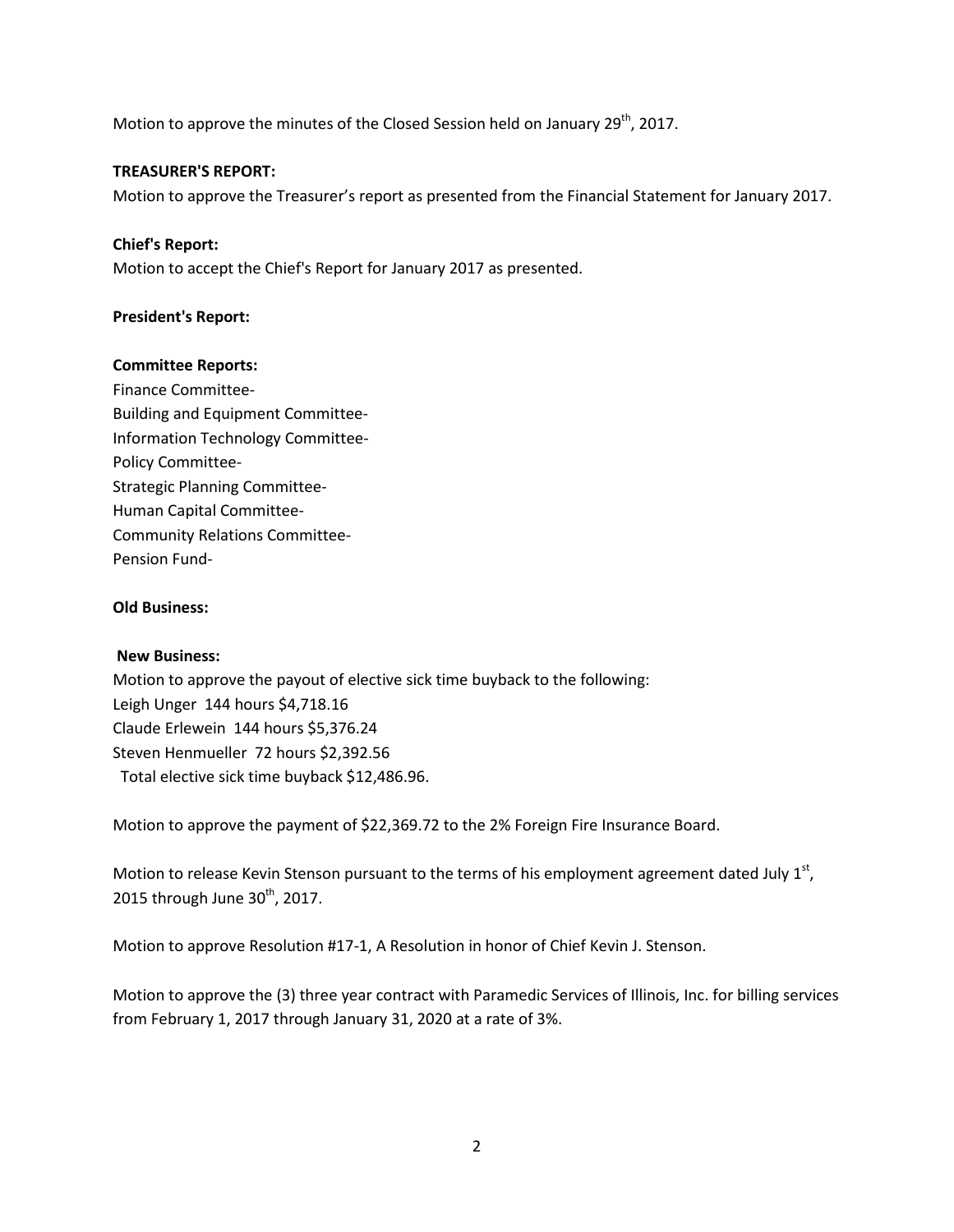Motion to approve the minutes of the Closed Session held on January  $29^{th}$ , 2017.

#### **TREASURER'S REPORT:**

Motion to approve the Treasurer's report as presented from the Financial Statement for January 2017.

## **Chief's Report:**

Motion to accept the Chief's Report for January 2017 as presented.

# **President's Report:**

#### **Committee Reports:**

Finance Committee-Building and Equipment Committee-Information Technology Committee-Policy Committee-Strategic Planning Committee-Human Capital Committee-Community Relations Committee-Pension Fund-

## **Old Business:**

#### **New Business:**

Motion to approve the payout of elective sick time buyback to the following: Leigh Unger 144 hours \$4,718.16 Claude Erlewein 144 hours \$5,376.24 Steven Henmueller 72 hours \$2,392.56 Total elective sick time buyback \$12,486.96.

Motion to approve the payment of \$22,369.72 to the 2% Foreign Fire Insurance Board.

Motion to release Kevin Stenson pursuant to the terms of his employment agreement dated July  $1<sup>st</sup>$ , 2015 through June  $30<sup>th</sup>$ , 2017.

Motion to approve Resolution #17-1, A Resolution in honor of Chief Kevin J. Stenson.

Motion to approve the (3) three year contract with Paramedic Services of Illinois, Inc. for billing services from February 1, 2017 through January 31, 2020 at a rate of 3%.